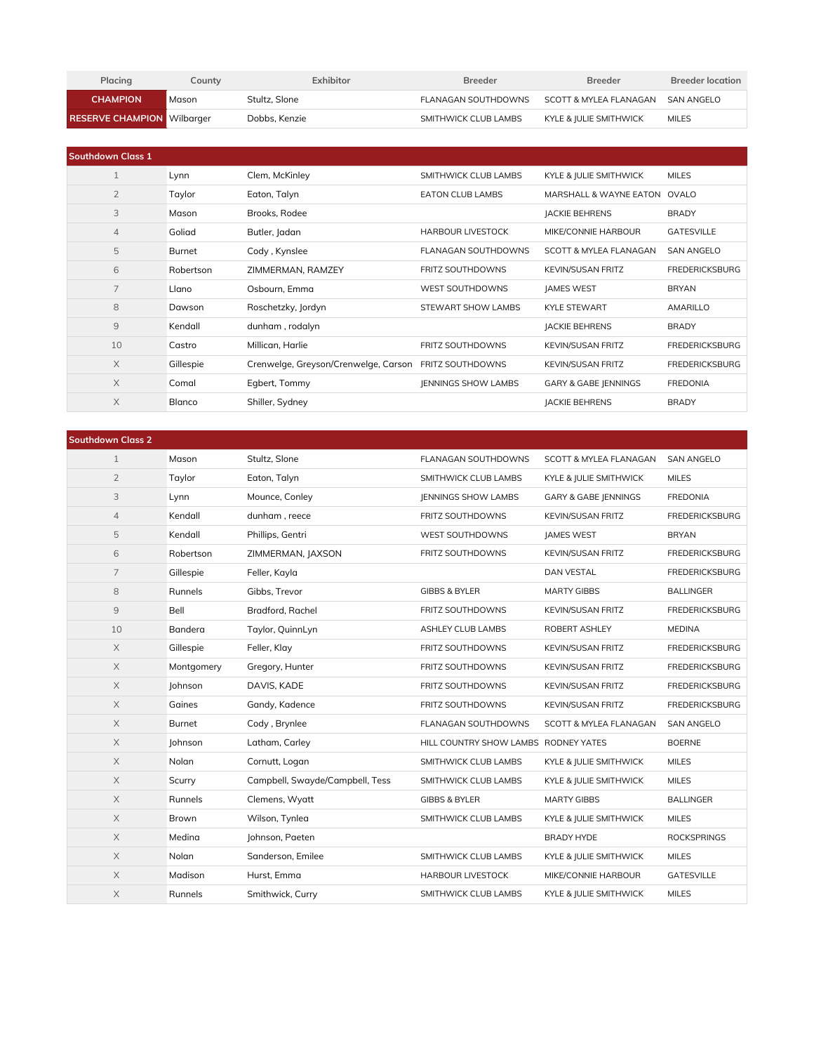| Placing                           | County | Exhibitor     | <b>Breeder</b>       | <b>Breeder</b>         | <b>Breeder location</b> |
|-----------------------------------|--------|---------------|----------------------|------------------------|-------------------------|
| <b>CHAMPION</b>                   | Mason  | Stultz, Slone | FLANAGAN SOUTHDOWNS  | SCOTT & MYLFA FLANAGAN | SAN ANGELO              |
| <b>RESERVE CHAMPION Wilbarger</b> |        | Dobbs. Kenzie | SMITHWICK CLUB LAMBS | KYLE & IULIE SMITHWICK | <b>MILES</b>            |

| <b>Southdown Class 1</b> |           |                                      |                            |                                   |                       |
|--------------------------|-----------|--------------------------------------|----------------------------|-----------------------------------|-----------------------|
| $\mathbf{1}$             | Lynn      | Clem, McKinley                       | SMITHWICK CLUB LAMBS       | KYLE & JULIE SMITHWICK            | <b>MILES</b>          |
| $\overline{2}$           | Taylor    | Eaton, Talyn                         | <b>EATON CLUB LAMBS</b>    | <b>MARSHALL &amp; WAYNE EATON</b> | OVALO                 |
| 3                        | Mason     | Brooks, Rodee                        |                            | <b>JACKIE BEHRENS</b>             | <b>BRADY</b>          |
| $\overline{4}$           | Goliad    | Butler, Jadan                        | <b>HARBOUR LIVESTOCK</b>   | MIKE/CONNIE HARBOUR               | <b>GATESVILLE</b>     |
| 5                        | Burnet    | Cody, Kynslee                        | FLANAGAN SOUTHDOWNS        | <b>SCOTT &amp; MYLEA FLANAGAN</b> | <b>SAN ANGELO</b>     |
| 6                        | Robertson | ZIMMERMAN, RAMZEY                    | FRITZ SOUTHDOWNS           | <b>KEVIN/SUSAN FRITZ</b>          | <b>FREDERICKSBURG</b> |
| 7                        | Llano     | Osbourn, Emma                        | <b>WEST SOUTHDOWNS</b>     | <b>JAMES WEST</b>                 | <b>BRYAN</b>          |
| 8                        | Dawson    | Roschetzky, Jordyn                   | STEWART SHOW LAMBS         | <b>KYLE STEWART</b>               | <b>AMARILLO</b>       |
| 9                        | Kendall   | dunham, rodalyn                      |                            | <b>JACKIE BEHRENS</b>             | <b>BRADY</b>          |
| 10                       | Castro    | Millican, Harlie                     | <b>FRITZ SOUTHDOWNS</b>    | <b>KEVIN/SUSAN FRITZ</b>          | <b>FREDERICKSBURG</b> |
| X                        | Gillespie | Crenwelge, Greyson/Crenwelge, Carson | <b>FRITZ SOUTHDOWNS</b>    | <b>KEVIN/SUSAN FRITZ</b>          | <b>FREDERICKSBURG</b> |
| $\times$                 | Comal     | Egbert, Tommy                        | <b>IENNINGS SHOW LAMBS</b> | GARY & GABE JENNINGS              | <b>FREDONIA</b>       |
| X                        | Blanco    | Shiller, Sydney                      |                            | <b>JACKIE BEHRENS</b>             | <b>BRADY</b>          |

| <b>Southdown Class 2</b> |               |                                 |                                      |                                   |                       |
|--------------------------|---------------|---------------------------------|--------------------------------------|-----------------------------------|-----------------------|
| $\mathbf{1}$             | Mason         | Stultz, Slone                   | FLANAGAN SOUTHDOWNS                  | <b>SCOTT &amp; MYLEA FLANAGAN</b> | <b>SAN ANGELO</b>     |
| $\overline{2}$           | Taylor        | Eaton, Talyn                    | SMITHWICK CLUB LAMBS                 | KYLE & JULIE SMITHWICK            | <b>MILES</b>          |
| 3                        | Lynn          | Mounce, Conley                  | <b>IENNINGS SHOW LAMBS</b>           | <b>GARY &amp; GABE JENNINGS</b>   | <b>FREDONIA</b>       |
| 4                        | Kendall       | dunham, reece                   | FRITZ SOUTHDOWNS                     | <b>KEVIN/SUSAN FRITZ</b>          | <b>FREDERICKSBURG</b> |
| 5                        | Kendall       | Phillips, Gentri                | WEST SOUTHDOWNS                      | <b>JAMES WEST</b>                 | <b>BRYAN</b>          |
| 6                        | Robertson     | ZIMMERMAN, JAXSON               | FRITZ SOUTHDOWNS                     | KEVIN/SUSAN FRITZ                 | <b>FREDERICKSBURG</b> |
| $\overline{7}$           | Gillespie     | Feller, Kayla                   |                                      | <b>DAN VESTAL</b>                 | <b>FREDERICKSBURG</b> |
| 8                        | Runnels       | Gibbs, Trevor                   | <b>GIBBS &amp; BYLER</b>             | <b>MARTY GIBBS</b>                | <b>BALLINGER</b>      |
| $\overline{9}$           | Bell          | Bradford, Rachel                | FRITZ SOUTHDOWNS                     | <b>KEVIN/SUSAN FRITZ</b>          | <b>FREDERICKSBURG</b> |
| 10                       | Bandera       | Taylor, QuinnLyn                | ASHLEY CLUB LAMBS                    | ROBERT ASHLEY                     | <b>MEDINA</b>         |
| $\times$                 | Gillespie     | Feller, Klay                    | FRITZ SOUTHDOWNS                     | <b>KEVIN/SUSAN FRITZ</b>          | <b>FREDERICKSBURG</b> |
| $\times$                 | Montgomery    | Gregory, Hunter                 | FRITZ SOUTHDOWNS                     | <b>KEVIN/SUSAN FRITZ</b>          | <b>FREDERICKSBURG</b> |
| $\mathsf X$              | Johnson       | DAVIS, KADE                     | FRITZ SOUTHDOWNS                     | <b>KEVIN/SUSAN FRITZ</b>          | <b>FREDERICKSBURG</b> |
| $\times$                 | Gaines        | Gandy, Kadence                  | FRITZ SOUTHDOWNS                     | <b>KEVIN/SUSAN FRITZ</b>          | <b>FREDERICKSBURG</b> |
| $\mathsf X$              | <b>Burnet</b> | Cody, Brynlee                   | FLANAGAN SOUTHDOWNS                  | <b>SCOTT &amp; MYLEA FLANAGAN</b> | <b>SAN ANGELO</b>     |
| $\mathsf X$              | Johnson       | Latham, Carley                  | HILL COUNTRY SHOW LAMBS RODNEY YATES |                                   | <b>BOERNE</b>         |
| $\mathsf X$              | Nolan         | Cornutt, Logan                  | SMITHWICK CLUB LAMBS                 | KYLE & JULIE SMITHWICK            | <b>MILES</b>          |
| $\mathsf X$              | Scurry        | Campbell, Swayde/Campbell, Tess | SMITHWICK CLUB LAMBS                 | KYLE & JULIE SMITHWICK            | <b>MILES</b>          |
| $\mathsf X$              | Runnels       | Clemens, Wyatt                  | <b>GIBBS &amp; BYLER</b>             | <b>MARTY GIBBS</b>                | <b>BALLINGER</b>      |
| $\times$                 | Brown         | Wilson, Tynlea                  | SMITHWICK CLUB LAMBS                 | KYLE & JULIE SMITHWICK            | <b>MILES</b>          |
| $\times$                 | Medina        | Johnson, Paeten                 |                                      | <b>BRADY HYDE</b>                 | <b>ROCKSPRINGS</b>    |
| $\mathsf X$              | Nolan         | Sanderson, Emilee               | SMITHWICK CLUB LAMBS                 | KYLE & JULIE SMITHWICK            | <b>MILES</b>          |
| $\mathsf X$              | Madison       | Hurst, Emma                     | <b>HARBOUR LIVESTOCK</b>             | MIKE/CONNIE HARBOUR               | <b>GATESVILLE</b>     |
| $\mathsf X$              | Runnels       | Smithwick, Curry                | SMITHWICK CLUB LAMBS                 | KYLE & JULIE SMITHWICK            | <b>MILES</b>          |